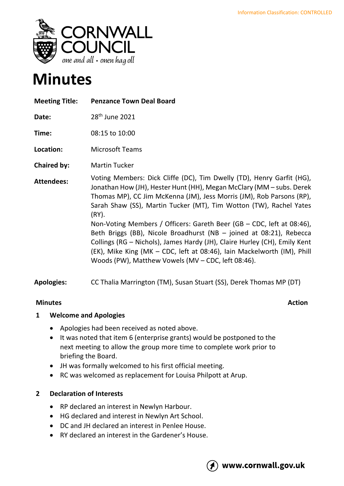

# **Minutes**

| <b>Meeting Title:</b> | <b>Penzance Town Deal Board</b>                                                                                                                                                                                                                                                                                                                                                                                                                                                                                                                                                                                                                                      |
|-----------------------|----------------------------------------------------------------------------------------------------------------------------------------------------------------------------------------------------------------------------------------------------------------------------------------------------------------------------------------------------------------------------------------------------------------------------------------------------------------------------------------------------------------------------------------------------------------------------------------------------------------------------------------------------------------------|
| Date:                 | 28 <sup>th</sup> June 2021                                                                                                                                                                                                                                                                                                                                                                                                                                                                                                                                                                                                                                           |
| Time:                 | 08:15 to 10:00                                                                                                                                                                                                                                                                                                                                                                                                                                                                                                                                                                                                                                                       |
| Location:             | <b>Microsoft Teams</b>                                                                                                                                                                                                                                                                                                                                                                                                                                                                                                                                                                                                                                               |
| <b>Chaired by:</b>    | <b>Martin Tucker</b>                                                                                                                                                                                                                                                                                                                                                                                                                                                                                                                                                                                                                                                 |
| <b>Attendees:</b>     | Voting Members: Dick Cliffe (DC), Tim Dwelly (TD), Henry Garfit (HG),<br>Jonathan How (JH), Hester Hunt (HH), Megan McClary (MM – subs. Derek<br>Thomas MP), CC Jim McKenna (JM), Jess Morris (JM), Rob Parsons (RP),<br>Sarah Shaw (SS), Martin Tucker (MT), Tim Wotton (TW), Rachel Yates<br>(RY).<br>Non-Voting Members / Officers: Gareth Beer (GB $-$ CDC, left at 08:46),<br>Beth Briggs (BB), Nicole Broadhurst (NB - joined at 08:21), Rebecca<br>Collings (RG - Nichols), James Hardy (JH), Claire Hurley (CH), Emily Kent<br>(EK), Mike King (MK – CDC, left at 08:46), Iain Mackelworth (IM), Phill<br>Woods (PW), Matthew Vowels (MV – CDC, left 08:46). |

**Apologies:** CC Thalia Marrington (TM), Susan Stuart (SS), Derek Thomas MP (DT)

## **Minutes** Action

## **1 Welcome and Apologies**

- Apologies had been received as noted above.
- It was noted that item 6 (enterprise grants) would be postponed to the next meeting to allow the group more time to complete work prior to briefing the Board.
- JH was formally welcomed to his first official meeting.
- RC was welcomed as replacement for Louisa Philpott at Arup.

# **2 Declaration of Interests**

- RP declared an interest in Newlyn Harbour.
- HG declared and interest in Newlyn Art School.
- DC and JH declared an interest in Penlee House.
- RY declared an interest in the Gardener's House.

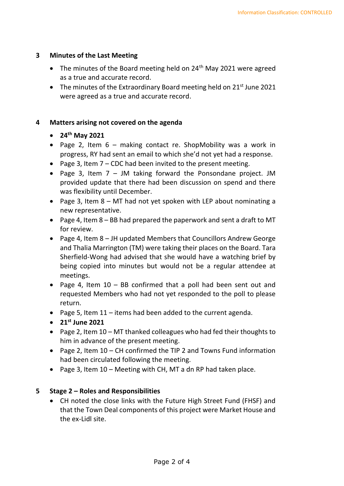#### **3 Minutes of the Last Meeting**

- The minutes of the Board meeting held on  $24<sup>th</sup>$  May 2021 were agreed as a true and accurate record.
- The minutes of the Extraordinary Board meeting held on  $21^{st}$  June 2021 were agreed as a true and accurate record.

#### **4 Matters arising not covered on the agenda**

- **24th May 2021**
- Page 2, Item 6 making contact re. ShopMobility was a work in progress, RY had sent an email to which she'd not yet had a response.
- Page 3, Item 7 CDC had been invited to the present meeting.
- Page 3, Item 7 JM taking forward the Ponsondane project. JM provided update that there had been discussion on spend and there was flexibility until December.
- Page 3, Item 8 MT had not yet spoken with LEP about nominating a new representative.
- Page 4, Item 8 BB had prepared the paperwork and sent a draft to MT for review.
- Page 4, Item 8 JH updated Members that Councillors Andrew George and Thalia Marrington (TM) were taking their places on the Board. Tara Sherfield-Wong had advised that she would have a watching brief by being copied into minutes but would not be a regular attendee at meetings.
- Page 4, Item 10 BB confirmed that a poll had been sent out and requested Members who had not yet responded to the poll to please return.
- Page 5, Item 11 items had been added to the current agenda.
- **21st June 2021**
- Page 2, Item 10 MT thanked colleagues who had fed their thoughts to him in advance of the present meeting.
- Page 2, Item 10 CH confirmed the TIP 2 and Towns Fund information had been circulated following the meeting.
- Page 3, Item 10 Meeting with CH, MT a dn RP had taken place.

## **5 Stage 2 – Roles and Responsibilities**

• CH noted the close links with the Future High Street Fund (FHSF) and that the Town Deal components of this project were Market House and the ex-Lidl site.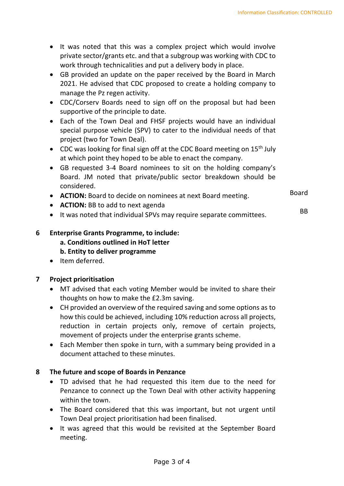Board

BB

- It was noted that this was a complex project which would involve private sector/grants etc. and that a subgroup was working with CDC to work through technicalities and put a delivery body in place.
- GB provided an update on the paper received by the Board in March 2021. He advised that CDC proposed to create a holding company to manage the Pz regen activity.
- CDC/Corserv Boards need to sign off on the proposal but had been supportive of the principle to date.
- Each of the Town Deal and FHSF projects would have an individual special purpose vehicle (SPV) to cater to the individual needs of that project (two for Town Deal).
- CDC was looking for final sign off at the CDC Board meeting on  $15<sup>th</sup>$  July at which point they hoped to be able to enact the company.
- GB requested 3-4 Board nominees to sit on the holding company's Board. JM noted that private/public sector breakdown should be considered.
- **ACTION:** Board to decide on nominees at next Board meeting.
- **ACTION:** BB to add to next agenda
- It was noted that individual SPVs may require separate committees.

## **6 Enterprise Grants Programme, to include:**

**a. Conditions outlined in HoT letter**

## **b. Entity to deliver programme**

• Item deferred.

#### **7 Project prioritisation**

- MT advised that each voting Member would be invited to share their thoughts on how to make the £2.3m saving.
- CH provided an overview of the required saving and some options as to how this could be achieved, including 10% reduction across all projects, reduction in certain projects only, remove of certain projects, movement of projects under the enterprise grants scheme.
- Each Member then spoke in turn, with a summary being provided in a document attached to these minutes.

## **8 The future and scope of Boards in Penzance**

- TD advised that he had requested this item due to the need for Penzance to connect up the Town Deal with other activity happening within the town.
- The Board considered that this was important, but not urgent until Town Deal project prioritisation had been finalised.
- It was agreed that this would be revisited at the September Board meeting.